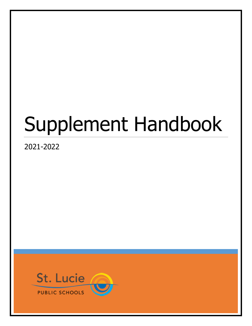# Supplement Handbook

2021-2022

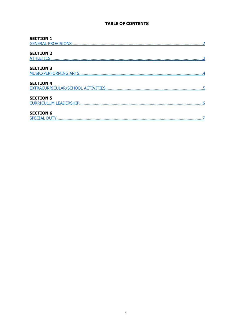# **TABLE OF CONTENTS**

| <b>SECTION 1</b>          |
|---------------------------|
| <b>GENERAL PROVISIONS</b> |
|                           |
| <b>SECTION 2</b>          |
| ATHLETICS                 |
|                           |
| <b>SECTION 3</b>          |
| MUSIC/PERFORMING ARTS     |
| <b>SECTION 4</b>          |
|                           |
|                           |
|                           |
| <b>SECTION 5</b>          |
| CURRICULUM LEADERSHIP     |
| <b>SECTION 6</b>          |
|                           |
|                           |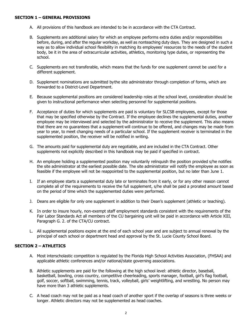#### <span id="page-2-0"></span>**SECTION 1 – GENERAL PROVISIONS**

- A. All provisions of this handbook are intended to be in accordance with the CTA Contract.
- B. Supplements are additional salary for which an employee performs extra duties and/or responsibilities before, during, and after the regular workday, as well as nonteaching duty days. They are designed in such a way as to allow individual school flexibility in matching its employees' resources to the needs of the student body, be it in the area of extracurricular activities, athletics, monitoring type duties, or representing the school.
- C. Supplements are not transferable, which means that the funds for one supplement cannot be used for a different supplement.
- D. Supplement nominations are submitted bythe site administrator through completion of forms, which are forwarded to a District-Level Department.
- E. Because supplemental positions are considered leadership roles at the school level, consideration should be given to instructional performance when selecting personnel for supplemental positions.
- F. Acceptance of duties for which supplements are paid is voluntary for SLCSB employees, except for those that may be specified otherwise by the Contract. If the employee declines the supplemental duties, another employee may be interviewed and selected by the administrator to receive the supplement. This also means that there are no guarantees that a supplement will continue to be offered, and changes may be made from year to year, to meet changing needs of a particular school. If the supplement receiver is terminated in the supplemented position, the receiver will be notified in writing.
- G. The amounts paid for supplemental duty are negotiable, and are included in the CTA Contract. Other supplements not explicitly described in this handbook may be paid if specified in contract.
- H. An employee holding a supplemented position may voluntarily relinquish the position provided s/he notifies the site administrator at the earliest possible date. The site administrator will notify the employee as soon as feasible if the employee will not be reappointed to the supplemental position, but no later than June 1.
- I. If an employee starts a supplemental duty late or terminates from it early, or for any other reason cannot complete all of the requirements to receive the full supplement, s/he shall be paid a prorated amount based on the period of time which the supplemented duties were performed.
- J. Deans are eligible for only one supplement in addition to their Dean's supplement (athletic or teaching).
- K. In order to insure hourly, non-exempt staff employment standards consistent with the requirements of the Fair Labor Standards Act all members of the CU bargaining unit will be paid in accordance with Article XIII, Paragraph G. 2. of the CTA/CU contract.
- L. All supplemental positions expire at the end of each school year and are subject to annual renewal by the principal of each school or department head and approval by the St. Lucie County School Board.

#### <span id="page-2-1"></span>**SECTION 2 – ATHLETICS**

- A. Most interscholastic competition is regulated by the Florida High School Activities Association, (FHSAA) and applicable athletic conferences and/or national/state governing associations.
- B. Athletic supplements are paid for the following at the high school level: athletic director, baseball, basketball, bowling, cross country, competitive cheerleading, sports manager, football, girl's flag football, golf, soccer, softball, swimming, tennis, track, volleyball, girls' weightlifting, and wrestling. No person may have more than 3 athletic supplements.
- C. A head coach may not be paid as a head coach of another sport if the overlap of seasons is three weeks or longer. Athletic directors may not be supplemented as head coaches.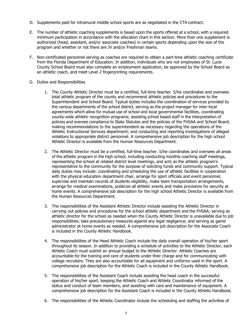- D. Supplements paid for intramural middle school sports are as negotiated in the CTA contract.
- E. The number of athletic coaching supplements is based upon the sports offered at a school, with a required minimum participation in accordance with the allocation chart in this section. More than one supplement is authorized (head, assistant, and/or associate coaches) in certain sports depending upon the size of the program and whether or not there are JV and/or Freshman teams.
- F. Non-certificated personnel serving as coaches are required to obtain a part-time athletic coaching certificate from the Florida Department of Education. In addition, individuals who are not employees of St. Lucie County School Board must also complete an employment application, be approved by the School Board as an athletic coach, and meet Level 2 fingerprinting requirements.
- G. Duties and Responsibilities
	- 1. The County Athletic Director must be a certified, full-time teacher. S/he coordinates and oversees total athletic program of the county and recommend athletic policies and procedures to the Superintendent and School Board. Typical duties includes the coordination of services provided by the various departments of the school district, serving as the project manager for inter-local agreements which allow for mutual use of school and local governmental facilities, coordinating county-wide athletic recognition programs; assisting school based staff in the interpretation of policies and oversee compliance to State Statutes and the policies of the FHSAA and School Board; making recommendations to the superintendent as necessary regarding the operations of the Athletic Instructional Services department; and conducting and reporting investigations of alleged violations to appropriate district personnel. A comprehensive job description for the high school Athletic Director is available from the Human Resources Department.
	- 2. The Athletic Director must be a certified, full-time teacher. S/he coordinates and oversees all areas of the athletic program in the high school, including conducting monthly coaching staff meetings, representing the school at related district level meetings, and acts as the athletic program's representative to the community for the purpose of soliciting funds and community support. Typical daily duties may include: coordinating and scheduling the use of athletic facilities in cooperation with the physical education department chair, arrange for sport officials and event personnel, supervise and maintain records of students eligibility, make team transportation arrangements, arrange for medical examinations, publicize all athletic events and make provisions for security at home events. A comprehensive job description for the high school Athletic Director is available from the Human Resources Department.
	- 3. The responsibilities of the Assistant Athletic Director include assisting the Athletic Director in carrying out policies and procedures for the school athletic department and the FHSAA; serving as athletic director for the school as needed when the County Athletic Director is unavailable due to job responsibilities; take precautionary measures against any legal negligence; and serving as game administrator at home events as needed. A comprehensive job description for the Associate Coach is included in the County Athletic Handbook.
	- 4. The responsibilities of the Head Athletic Coach include the daily overall operation of his/her sport throughout its season. In addition to providing a schedule of activities to the Athletic Director, each Athletic Coach must submit an annual budget to the Athletic Director. Athletic Coaches are accountable for the training and care of students under their charge and for communicating with college recruiters. They are also accountable for all equipment and uniforms used in the sport. A comprehensive job description for the Athletic Coach is included in the County Athletic Handbook.
	- 5. The responsibilities of the Assistant Coach include assisting the head coach in the successful operation of his/her sport; keeping the Athletic Coach and Athletic Coordinator informed of the status and conduct of team members; and assisting with care and maintenance of equipment. A comprehensive job description for the Assistant Coach is included in the County Athletic Handbook.
	- 6. The responsibilities of the Athletic Coordinator include the scheduling and staffing the activities of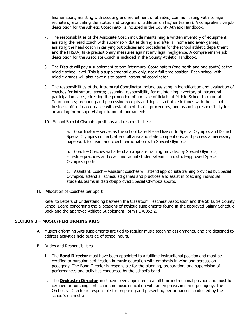his/her sport; assisting with scouting and recruitment of athletes; communicating with college recruiters; evaluating the status and progress of athletes on his/her team(s). A comprehensive job description for the Athletic Coordinator is included in the County Athletic Handbook.

- 7. The responsibilities of the Associate Coach include maintaining a written inventory of equipment; assisting the head coach with supervisory duties during and after all home and away games; assisting the head coach in carrying out policies and procedures for the school athletic department and the FHSAA; take precautionary measures against any legal negligence. A comprehensive job description for the Associate Coach is included in the County Athletic Handbook.
- 8. The District will pay a supplement to two Intramural Coordinators (one north and one south) at the middle school level. This is a supplemental duty only, not a full-time position. Each school with middle grades will also have a site-based intramural coordinator.
- 9. The responsibilities of the Intramural Coordinator include assisting in identification and evaluation of coaches for intramural sports; assuming responsibility for maintaining inventory of intramural participation cards; directing the promotion of and sale of tickets at Middle School Intramural Tournaments; preparing and processing receipts and deposits of athletic funds with the school business office in accordance with established district procedures; and assuming responsibility for arranging for or supervising intramural tournaments
- 10. School Special Olympics positions and responsibilities:

a. Coordinator – serves as the school based-based liaison to Special Olympics and District Special Olympics contact, attend all area and state competitions, and process allnecessary paperwork for team and coach participation with Special Olympics.

b. Coach – Coaches will attend appropriate training provided by Special Olympics, schedule practices and coach individual students/teams in district-approved Special Olympics sports.

c. Assistant. Coach – Assistant coaches will attend appropriate training provided by Special Olympics, attend all scheduled games and practices and assist in coaching individual students/teams in district-approved Special Olympics sports.

H. Allocation of Coaches per Sport

Refer to Letters of Understanding between the Classroom Teachers' Association and the St. Lucie County School Board concerning the allocations of athletic supplements found in the approved Salary Schedule Book and the approved Athletic Supplement Form PER0052.2.

#### <span id="page-4-0"></span>**SECTION 3 – MUSIC/PERFORMING ARTS**

- A. Music/Performing Arts supplements are tied to regular music teaching assignments, and are designed to address activities held outside of school hours.
- B. Duties and Responsibilities
	- 1. The **Band Director** must have been appointed to a fulltime instructional position and must be certified or pursuing certification in music education with emphasis in wind and percussion pedagogy. The Band Director is responsible for the planning, preparation, and supervision of performances and activities conducted by the school's band.
	- 2. The **Orchestra Director** must have been appointed to a full-time instructional position and must be certified or pursuing certification in music education with an emphasis in string pedagogy. The Orchestra Director is responsible for preparing and presenting performances conducted by the school's orchestra.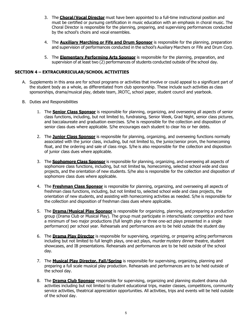- 3. The **Choral/Vocal Director** must have been appointed to a full-time instructional position and must be certified or pursuing certification in music education with an emphasis in choral music. The Choral Director is responsible for the planning, preparing, and supervising performances conducted by the school's choirs and vocal ensembles.
- 4. The **Auxiliary Marching or Fife and Drum Sponsor** is responsible for the planning, preparation and supervision of performances conducted in the school's Auxiliary Marchers or Fife and Drum Corp.
- 5. The **Elementary Performing Arts Sponsor** is responsible for the planning, preparation, and supervision of at least two (2) performances of students conducted outside of the school day.

### <span id="page-5-0"></span>**SECTION 4 – EXTRACURRICULAR/SCHOOL ACTIVITIES**

- A. Supplements in this area are for school programs or activities that involve or could appeal to a significant part of the student body as a whole, as differentiated from club sponsorship. These include such activities as class sponsorships, drama/musical play, debate team, JROTC, school paper, student council and yearbook.
- B. Duties and Responsibilities
	- 1. The **Senior Class Sponsor** is responsible for planning, organizing, and overseeing all aspects of senior class functions, including, but not limited to, fundraising, Senior Week, Grad Night, senior class pictures, and baccalaureate and graduation exercises. S/he is responsible for the collection and disposition of senior class dues where applicable. S/he encourages each student to clear his or her debts.
	- 2. The **Junior Class Sponsor** is responsible for planning, organizing, and overseeing functions normally associated with the junior class, including, but not limited to, the junior/senior prom, the homecoming float, and the ordering and sale of class rings. S/he is also responsible for the collection and disposition of junior class dues where applicable.
	- 3. The **Sophomore Class Sponsor** is responsible for planning, organizing, and overseeing all aspects of sophomore class functions, including, but not limited to, homecoming, selected school wide and class projects, and the orientation of new students. S/he also is responsible for the collection and disposition of sophomore class dues where applicable.
	- 4. The **Freshman Class Sponsor** is responsible for planning, organizing, and overseeing all aspects of freshman class functions, including, but not limited to, selected school wide and class projects, the orientation of new students, and assisting with homecoming activities as needed. S/he is responsible for the collection and disposition of freshman class dues where applicable.
	- 5. The **Drama/Musical Play Sponsor** is responsible for organizing, planning, and preparing a production group (Drama Club or Musical Play). The group must participate in interscholastic competition and have a minimum of two major productions (full length play or three one-act plays presented in a single performance) per school year. Rehearsals and performances are to be held outside the student day
	- 6. The **Drama Play Director** is responsible for supervising, organizing, or preparing acting performances including but not limited to full length plays, one-act plays, murder mystery dinner theatre, student showcases, and IB presentations. Rehearsals and performances are to be held outside of the school day.
	- 7. The **Musical Play Director, Fall/Spring** is responsible for supervising, organizing, planning and preparing a full scale musical play production. Rehearsals and performances are to be held outside of the school day.
	- 8. The **Drama Club Sponsor** responsible for supervising, organizing and planning student drama club activities including but not limited to student educational trips, master classes, competitions, community service activities, theatrical appreciation opportunities. All activities, trips and events will be held outside of the school day.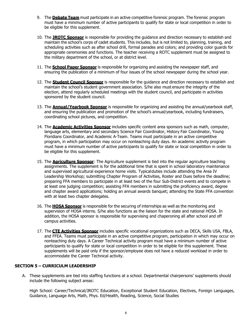- 9. The **Debate Team** must participate in an active competitive forensic program. The forensic program must have a minimum number of active participants to qualify for state or local competition in order to be eligible for this supplement.
- 10. The **JROTC Sponsor** is responsible for providing the guidance and direction necessary to establish and maintain the school's corps of cadet students. This includes, but is not limited to, planning, training, and scheduling activities such as after school drill, formal parades and colors; and providing color guards for appropriate ceremonies and functions. The teacher receiving a ROTC supplement must be assigned to the military department of the school, or at district level.
- 11. The **School Paper Sponsor** is responsible for organizing and assisting the newspaper staff, and ensuring the publication of a minimum of four issues of the school newspaper during the school year.
- 12. The **Student Council Sponsor** is responsible for the guidance and direction necessary to establish and maintain the school's student government association. S/he also must ensure the integrity of the election, attend regularly scheduled meetings with the student council, and participate in activities sponsored by the student council.
- 13. The **Annual/Yearbook Sponsor** is responsible for organizing and assisting the annual/yearbook staff, and ensuring the publication and promotion of the school's annual/yearbook, including fundraisers, coordinating school pictures, and competition.
- 14. The **Academic Activities Sponsor** includes specific content area sponsors such as math, computer, language arts, elementary and secondary Science Fair Coordinator, History Fair Coordinator, Young Floridians Coordinator, and Academic A-Team. Teams must participate in an active competitive program, in which participation may occur on nonteaching duty days. An academic activity program must have a minimum number of active participants to qualify for state or local competition in order to be eligible for this supplement.
- 15. The **Agriculture Sponsor**: The Agriculture supplement is tied into the regular agriculture teaching assignments. The supplement is for the additional time that is spent in school laboratory maintenance and supervised agricultural experience home visits. Typicalduties include attending the Area IV Leadership Workshop; submitting Chapter Program of Activities, Roster and Dues before the deadline; preparing FFA members to participate in at least two of the four Sub-District events and to compete in at least one judging competition; assisting FFA members in submitting the proficiency award, degree and chapter award applications; holding an annual awards banquet; attending the State FFA convention with at least two chapter delegates.
- 16. The **HOSA Sponsor** is responsible for the securing of internships as well as the monitoring and supervision of HOSA interns. S/he also functions as the liaison for the state and national HOSA. In addition, the HOSA sponsor is responsible for supervising and chaperoning all after school and off campus activities.
- 17. The **CTE Activities Sponsor** includes specific vocational organizations such as DECA, Skills USA, FBLA, and FFEA. Teams must participate in an active competitive program, participation in which may occur on nonteaching duty days. A Career Technical activity program must have a minimum number of active participants to qualify for state or local competition in order to be eligible for this supplement. These supplements will be paid only if the sponsor/employee does not have a reduced workload in order to accommodate the Career Technical activity.

#### <span id="page-6-0"></span>**SECTION 5 – CURRICULM LEADERSHIP**

A. These supplements are tied into staffing functions at a school. Departmental chairpersons' supplements should include the following subject areas:

High School: Career/Technical/JROTC Education, Exceptional Student Education, Electives, Foreign Languages, Guidance, Language Arts, Math, Phys. Ed/Health, Reading, Science, Social Studies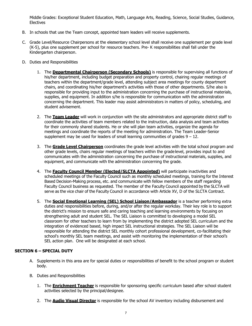Middle Grades: Exceptional Student Education, Math, Language Arts, Reading, Science, Social Studies, Guidance, **Electives** 

- B. In schools that use the Team concept, appointed team leaders will receive supplements.
- C. Grade Level/Resource Chairpersons at the elementary school level shall receive one supplement per grade level (K-5), plus one supplement per school for resource teachers. Pre- K responsibilities shall fall under the Kindergarten chairperson.
- D. Duties and Responsibilities
	- 1. The **Departmental Chairperson (Secondary Schools)** is responsible for supervising all functions of his/her department, including budget preparation and property control, chairing regular meetings of teachers within the department/grade level, attending subject area meetings for county department chairs, and coordinating his/her department's activities with those of other departments. S/he also is responsible for providing input to the administration concerning the purchase of instructional materials, supplies, and equipment. In addition s/he is responsible for communication with the administration concerning the department. This leader may assist administrators in matters of policy, scheduling, and student advisement.
	- 2. The **Team Leader** will work in conjunction with the site administrators and appropriate district staff to coordinate the activities of team members related to the instruction, data analysis and team activities for their commonly shared students. He or she will plan team activities, organize the agenda for meetings and coordinate the reports of the meeting for administration. The Team Leader-Senior supplement may be used for leaders of small learning communities of grades  $9 - 12$ .
	- 3. The **Grade Level Chairperson** coordinates the grade level activities with the total school program and other grade levels, chairs regular meetings of teachers within the grade level, provides input to and communicates with the administration concerning the purchase of instructional materials, supplies, and equipment, and communicate with the administration concerning the grade.
	- 4. The **Faculty Council Member (Elected/SLCTA Appointed)** will participate inactivities and scheduled meetings of the Faculty Council such as monthly scheduled meetings, training for the Interest Based Decision-Making process, etc. and communicate with fellow members of the staff regarding Faculty Council business as requested. The member of the Faculty Council appointed by the SLCTA will serve as the vice chair of the Faculty Council in accordance with Article XV, D of the SLCTA Contract.
	- 5. The **Social Emotional Learning (SEL) School Liaison/Ambassador** is a teacher performing extra duties and responsibilities before, during, and/or after the regular workday. Their key role is to support the district's mission to ensure safe and caring teaching and learning environments by focusing on strengthening adult and student SEL. The SEL Liaison is committed to developing a model SEL classroom for other teachers to learn from by implementing the district adopted SEL curriculum and the integration of evidenced based, high impact SEL instructional strategies. The SEL Liaison will be responsible for attending the district SEL monthly cohort professional development, co-facilitating their school's monthly SEL team meetings, and assist with monitoring the implementation of their school's SEL action plan. One will be designated at each school.

## <span id="page-7-0"></span>**SECTION 6 – SPECIAL DUTY**

- A. Supplements in this area are for special duties or responsibilities of benefit to the school program or student body.
- B. Duties and Responsibilities
	- 1. The **Enrichment Teacher** is responsible for sponsoring specific curriculum based after school student activities selected by the principal/designee.
	- 2. The **Audio Visual Director** is responsible for the school AV inventory including disbursement and